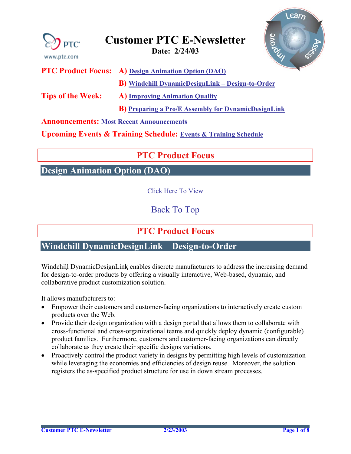<span id="page-0-0"></span>

**Announcements: [Most Recent Announcements](#page-5-0)** 

**Upcoming Events & Training Schedule: [Events & Training Schedule](#page-7-0)**

# **PTC Product Focus**

**Design Animation Option (DAO)** 

[Click Here To View](http://www.ptc-mss.com/Tutorial/Tip_Tech/Customer PTC E-Newsletter 2-24-2003_A.pdf)

[Back To Top](#page-0-0)

**PTC Product Focus** 

### **Windchill DynamicDesignLink – Design-to-Order**

Windchill DynamicDesignLink enables discrete manufacturers to address the increasing demand for design-to-order products by offering a visually interactive, Web-based, dynamic, and collaborative product customization solution.

It allows manufacturers to:

- Empower their customers and customer-facing organizations to interactively create custom products over the Web.
- Provide their design organization with a design portal that allows them to collaborate with cross-functional and cross-organizational teams and quickly deploy dynamic (configurable) product families. Furthermore, customers and customer-facing organizations can directly collaborate as they create their specific designs variations.
- Proactively control the product variety in designs by permitting high levels of customization while leveraging the economies and efficiencies of design reuse. Moreover, the solution registers the as-specified product structure for use in down stream processes.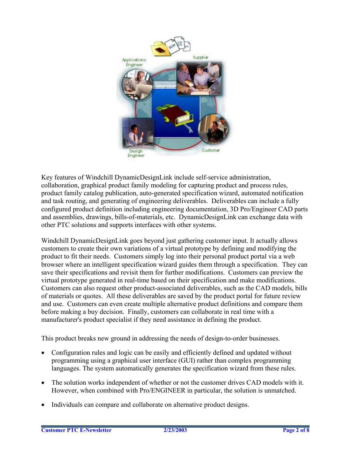

Key features of Windchill DynamicDesignLink include self-service administration, collaboration, graphical product family modeling for capturing product and process rules, product family catalog publication, auto-generated specification wizard, automated notification and task routing, and generating of engineering deliverables. Deliverables can include a fully configured product definition including engineering documentation, 3D Pro/Engineer CAD parts and assemblies, drawings, bills-of-materials, etc. DynamicDesignLink can exchange data with other PTC solutions and supports interfaces with other systems.

Windchill DynamicDesignLink goes beyond just gathering customer input. It actually allows customers to create their own variations of a virtual prototype by defining and modifying the product to fit their needs. Customers simply log into their personal product portal via a web browser where an intelligent specification wizard guides them through a specification. They can save their specifications and revisit them for further modifications. Customers can preview the virtual prototype generated in real-time based on their specification and make modifications. Customers can also request other product-associated deliverables, such as the CAD models, bills of materials or quotes. All these deliverables are saved by the product portal for future review and use. Customers can even create multiple alternative product definitions and compare them before making a buy decision. Finally, customers can collaborate in real time with a manufacturer's product specialist if they need assistance in defining the product.

This product breaks new ground in addressing the needs of design-to-order businesses.

- Configuration rules and logic can be easily and efficiently defined and updated without programming using a graphical user interface (GUI) rather than complex programming languages. The system automatically generates the specification wizard from these rules.
- The solution works independent of whether or not the customer drives CAD models with it. However, when combined with Pro/ENGINEER in particular, the solution is unmatched.
- Individuals can compare and collaborate on alternative product designs.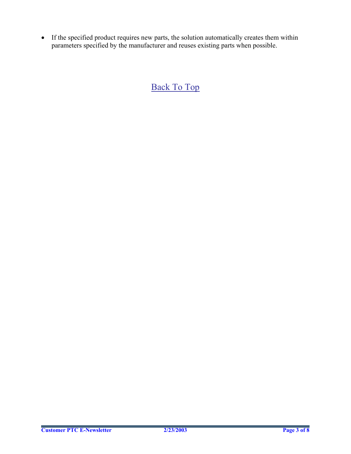• If the specified product requires new parts, the solution automatically creates them within parameters specified by the manufacturer and reuses existing parts when possible.

[Back To Top](#page-0-0)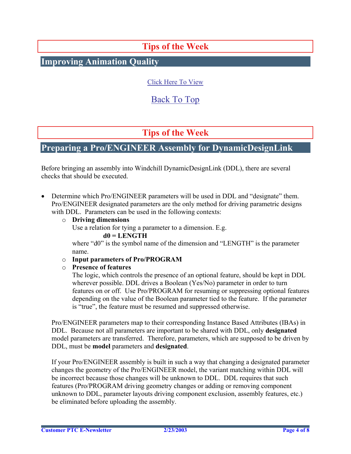# **Tips of the Week**

<span id="page-3-0"></span>**Improving Animation Quality**

### [Click Here To View](http://www.ptc-mss.com/Tutorial/Tip_Tech/Customer PTC E-Newsletter 2-24-2003_A.pdf)

## [Back To Top](#page-0-0)

# **Tips of the Week**

### **Preparing a Pro/ENGINEER Assembly for DynamicDesignLink**

Before bringing an assembly into Windchill DynamicDesignLink (DDL), there are several checks that should be executed.

• Determine which Pro/ENGINEER parameters will be used in DDL and "designate" them. Pro/ENGINEER designated parameters are the only method for driving parametric designs with DDL. Parameters can be used in the following contexts:

#### o **Driving dimensions**

Use a relation for tying a parameter to a dimension. E.g.

#### **d0 = LENGTH**

where "d0" is the symbol name of the dimension and "LENGTH" is the parameter name.

#### o **Input parameters of Pro/PROGRAM**

#### o **Presence of features**

The logic, which controls the presence of an optional feature, should be kept in DDL wherever possible. DDL drives a Boolean (Yes/No) parameter in order to turn features on or off. Use Pro/PROGRAM for resuming or suppressing optional features depending on the value of the Boolean parameter tied to the feature. If the parameter is "true", the feature must be resumed and suppressed otherwise.

Pro/ENGINEER parameters map to their corresponding Instance Based Attributes (IBAs) in DDL. Because not all parameters are important to be shared with DDL, only **designated** model parameters are transferred. Therefore, parameters, which are supposed to be driven by DDL, must be **model** parameters and **designated**.

If your Pro/ENGINEER assembly is built in such a way that changing a designated parameter changes the geometry of the Pro/ENGINEER model, the variant matching within DDL will be incorrect because those changes will be unknown to DDL. DDL requires that such features (Pro/PROGRAM driving geometry changes or adding or removing component unknown to DDL, parameter layouts driving component exclusion, assembly features, etc.) be eliminated before uploading the assembly.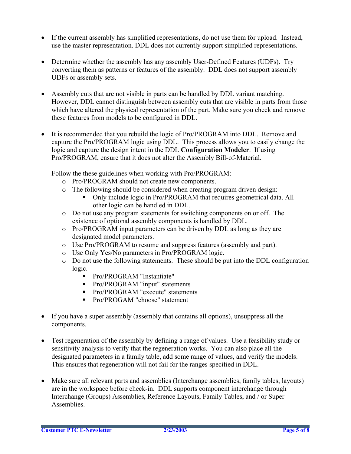- If the current assembly has simplified representations, do not use them for upload. Instead, use the master representation. DDL does not currently support simplified representations.
- Determine whether the assembly has any assembly User-Defined Features (UDFs). Try converting them as patterns or features of the assembly. DDL does not support assembly UDFs or assembly sets.
- Assembly cuts that are not visible in parts can be handled by DDL variant matching. However, DDL cannot distinguish between assembly cuts that are visible in parts from those which have altered the physical representation of the part. Make sure you check and remove these features from models to be configured in DDL.
- It is recommended that you rebuild the logic of Pro/PROGRAM into DDL. Remove and capture the Pro/PROGRAM logic using DDL. This process allows you to easily change the logic and capture the design intent in the DDL **Configuration Modeler**. If using Pro/PROGRAM, ensure that it does not alter the Assembly Bill-of-Material.

Follow the these guidelines when working with Pro/PROGRAM:

- o Pro/PROGRAM should not create new components.
- o The following should be considered when creating program driven design:
	- Only include logic in Pro/PROGRAM that requires geometrical data. All other logic can be handled in DDL.
- o Do not use any program statements for switching components on or off. The existence of optional assembly components is handled by DDL.
- o Pro/PROGRAM input parameters can be driven by DDL as long as they are designated model parameters.
- o Use Pro/PROGRAM to resume and suppress features (assembly and part).
- o Use Only Yes/No parameters in Pro/PROGRAM logic.
- o Do not use the following statements. These should be put into the DDL configuration logic.
	- Pro/PROGRAM "Instantiate"
	- Pro/PROGRAM "input" statements
	- Pro/PROGRAM "execute" statements
	- Pro/PROGAM "choose" statement
- If you have a super assembly (assembly that contains all options), unsuppress all the components.
- Test regeneration of the assembly by defining a range of values. Use a feasibility study or sensitivity analysis to verify that the regeneration works. You can also place all the designated parameters in a family table, add some range of values, and verify the models. This ensures that regeneration will not fail for the ranges specified in DDL.
- Make sure all relevant parts and assemblies (Interchange assemblies, family tables, layouts) are in the workspace before check-in. DDL supports component interchange through Interchange (Groups) Assemblies, Reference Layouts, Family Tables, and / or Super Assemblies.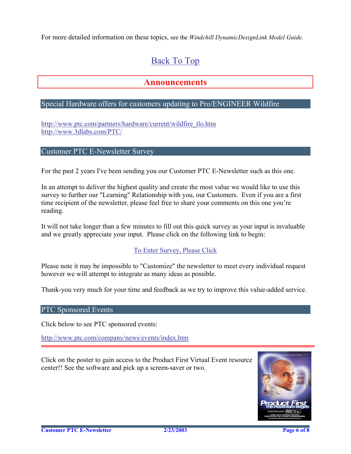<span id="page-5-0"></span>For more detailed information on these topics, see the *Windchill DynamicDesignLink Model Guide.*

# [Back To Top](#page-0-0)

## **Announcements**

### Special Hardware offers for customers updating to Pro/ENGINEER Wildfire

[http://www.ptc.com/partners/hardware/current/wildfire\\_tlo.htm](http://www.ptc.com/partners/hardware/current/wildfire_tlo.htm)  <http://www.3dlabs.com/PTC/>

#### Customer PTC E-Newsletter Survey

For the past 2 years I've been sending you our Customer PTC E-Newsletter such as this one.

In an attempt to deliver the highest quality and create the most value we would like to use this survey to further our "Learning" Relationship with you, our Customers. Even if you are a first time recipient of the newsletter, please feel free to share your comments on this one you're reading.

It will not take longer than a few minutes to fill out this quick survey as your input is invaluable and we greatly appreciate your input. Please click on the following link to begin:

### [To Enter Survey, Please Click](http://www.zoomerang.com/survey.zgi?54VBJVHDAQYET9LJJT1DWKC4)

Please note it may be impossible to "Customize" the newsletter to meet every individual request however we will attempt to integrate as many ideas as possible.

Thank-you very much for your time and feedback as we try to improve this value-added service.

PTC Sponsored Events

Click below to see PTC sponsored events:

<http://www.ptc.com/company/news/events/index.htm>

Click on the poster to gain access to the Product First Virtual Event resource center!! See the software and pick up a screen-saver or two.

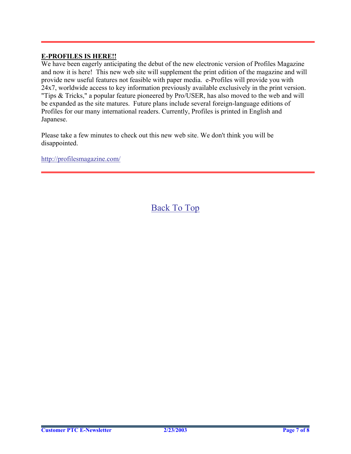### **E-PROFILES IS HERE!!**

We have been eagerly anticipating the debut of the new electronic version of Profiles Magazine and now it is here! This new web site will supplement the print edition of the magazine and will provide new useful features not feasible with paper media. e-Profiles will provide you with 24x7, worldwide access to key information previously available exclusively in the print version. "Tips & Tricks," a popular feature pioneered by Pro/USER, has also moved to the web and will be expanded as the site matures. Future plans include several foreign-language editions of Profiles for our many international readers. Currently, Profiles is printed in English and Japanese.

Please take a few minutes to check out this new web site. We don't think you will be disappointed.

<http://profilesmagazine.com/>

[Back To Top](#page-0-0)